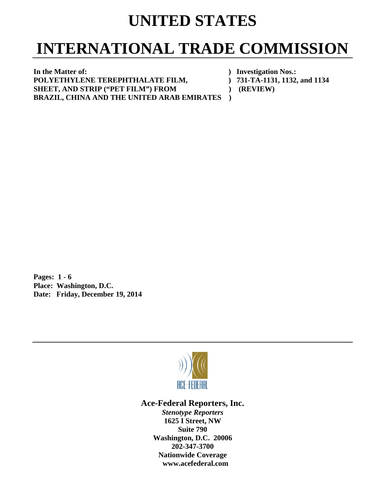## **UNITED STATES**

## **INTERNATIONAL TRADE COMMISSION**

**In the Matter of: ) Investigation Nos.:**  POLYETHYLENE TEREPHTHALATE FILM,  $731-TA-1131, 1132,$  and 1134 SHEET, AND STRIP ("PET FILM") FROM  $(REVIEW)$ **BRAZIL, CHINA AND THE UNITED ARAB EMIRATES )** 

**Pages: 1 - 6 Place: Washington, D.C. Date: Friday, December 19, 2014** 



**Ace-Federal Reporters, Inc.** 

*Stenotype Reporters*  **1625 I Street, NW Suite 790 Washington, D.C. 20006 202-347-3700 Nationwide Coverage www.acefederal.com**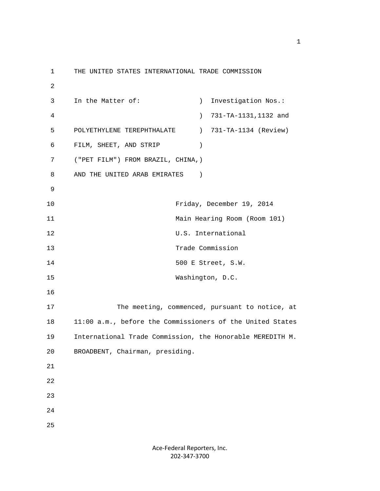1 THE UNITED STATES INTERNATIONAL TRADE COMMISSION 2 3 In the Matter of: ) Investigation Nos.: 4 ) 731-TA-1131,1132 and 5 POLYETHYLENE TEREPHTHALATE ) 731-TA-1134 (Review) 6 FILM, SHEET, AND STRIP ) 7 ("PET FILM") FROM BRAZIL, CHINA,) 8 AND THE UNITED ARAB EMIRATES ) 9 10 Friday, December 19, 2014 11 Main Hearing Room (Room 101) 12 U.S. International 13 Trade Commission 14 500 E Street, S.W. 15 Washington, D.C. 16 17 The meeting, commenced, pursuant to notice, at 18 11:00 a.m., before the Commissioners of the United States 19 International Trade Commission, the Honorable MEREDITH M. 20 BROADBENT, Chairman, presiding. 21 22 23 24 25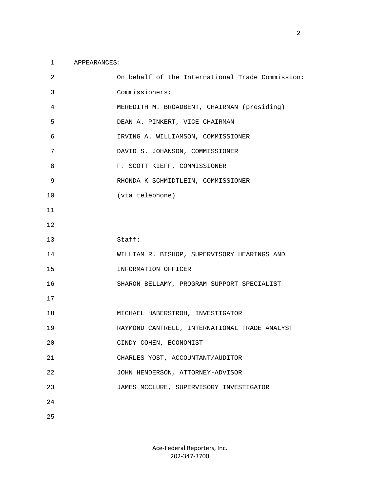## 1 APPEARANCES:

| 2  | On behalf of the International Trade Commission: |
|----|--------------------------------------------------|
| 3  | Commissioners:                                   |
| 4  | MEREDITH M. BROADBENT, CHAIRMAN (presiding)      |
| 5  | DEAN A. PINKERT, VICE CHAIRMAN                   |
| 6  | IRVING A. WILLIAMSON, COMMISSIONER               |
| 7  | DAVID S. JOHANSON, COMMISSIONER                  |
| 8  | F. SCOTT KIEFF, COMMISSIONER                     |
| 9  | RHONDA K SCHMIDTLEIN, COMMISSIONER               |
| 10 | (via telephone)                                  |
| 11 |                                                  |
| 12 |                                                  |
| 13 | Staff:                                           |
| 14 | WILLIAM R. BISHOP, SUPERVISORY HEARINGS AND      |
| 15 | INFORMATION OFFICER                              |
| 16 | SHARON BELLAMY, PROGRAM SUPPORT SPECIALIST       |
| 17 |                                                  |
| 18 | MICHAEL HABERSTROH, INVESTIGATOR                 |
| 19 | RAYMOND CANTRELL, INTERNATIONAL TRADE ANALYST    |
| 20 | CINDY COHEN, ECONOMIST                           |
| 21 | CHARLES YOST, ACCOUNTANT/AUDITOR                 |
| 22 | JOHN HENDERSON, ATTORNEY-ADVISOR                 |
| 23 | JAMES MCCLURE, SUPERVISORY INVESTIGATOR          |
| 24 |                                                  |
| 25 |                                                  |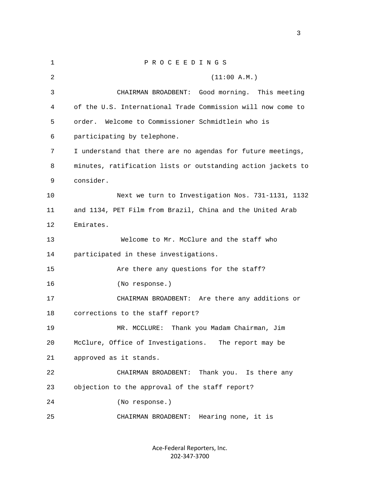1 P R O C E E D I N G S 2 (11:00 A.M.) 3 CHAIRMAN BROADBENT: Good morning. This meeting 4 of the U.S. International Trade Commission will now come to 5 order. Welcome to Commissioner Schmidtlein who is 6 participating by telephone. 7 I understand that there are no agendas for future meetings, 8 minutes, ratification lists or outstanding action jackets to 9 consider. 10 Next we turn to Investigation Nos. 731-1131, 1132 11 and 1134, PET Film from Brazil, China and the United Arab 12 Emirates. 13 Welcome to Mr. McClure and the staff who 14 participated in these investigations. 15 Are there any questions for the staff? 16 (No response.) 17 CHAIRMAN BROADBENT: Are there any additions or 18 corrections to the staff report? 19 MR. MCCLURE: Thank you Madam Chairman, Jim 20 McClure, Office of Investigations. The report may be 21 approved as it stands. 22 CHAIRMAN BROADBENT: Thank you. Is there any 23 objection to the approval of the staff report? 24 (No response.) 25 CHAIRMAN BROADBENT: Hearing none, it is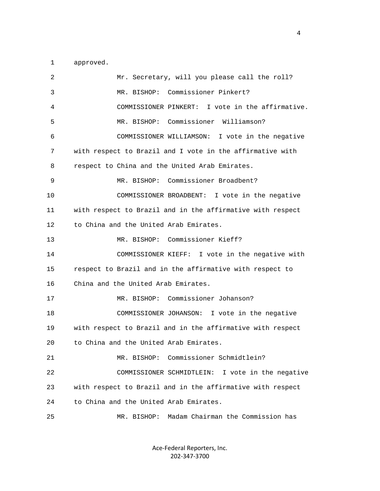1 approved.

| 2  | Mr. Secretary, will you please call the roll?              |
|----|------------------------------------------------------------|
| 3  | MR. BISHOP: Commissioner Pinkert?                          |
| 4  | COMMISSIONER PINKERT: I vote in the affirmative.           |
| 5  | MR. BISHOP: Commissioner Williamson?                       |
| 6  | COMMISSIONER WILLIAMSON: I vote in the negative            |
| 7  | with respect to Brazil and I vote in the affirmative with  |
| 8  | respect to China and the United Arab Emirates.             |
| 9  | MR. BISHOP: Commissioner Broadbent?                        |
| 10 | COMMISSIONER BROADBENT: I vote in the negative             |
| 11 | with respect to Brazil and in the affirmative with respect |
| 12 | to China and the United Arab Emirates.                     |
| 13 | MR. BISHOP: Commissioner Kieff?                            |
| 14 | COMMISSIONER KIEFF: I vote in the negative with            |
| 15 | respect to Brazil and in the affirmative with respect to   |
| 16 | China and the United Arab Emirates.                        |
| 17 | MR. BISHOP: Commissioner Johanson?                         |
| 18 | COMMISSIONER JOHANSON: I vote in the negative              |
| 19 | with respect to Brazil and in the affirmative with respect |
| 20 | to China and the United Arab Emirates.                     |
| 21 | MR. BISHOP: Commissioner Schmidtlein?                      |
| 22 | I vote in the negative<br>COMMISSIONER SCHMIDTLEIN:        |
| 23 | with respect to Brazil and in the affirmative with respect |
| 24 | to China and the United Arab Emirates.                     |
| 25 | Madam Chairman the Commission has<br>MR. BISHOP:           |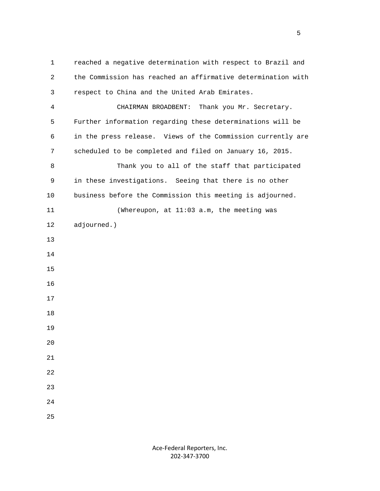1 reached a negative determination with respect to Brazil and 2 the Commission has reached an affirmative determination with 3 respect to China and the United Arab Emirates. 4 CHAIRMAN BROADBENT: Thank you Mr. Secretary. 5 Further information regarding these determinations will be 6 in the press release. Views of the Commission currently are 7 scheduled to be completed and filed on January 16, 2015. 8 Thank you to all of the staff that participated 9 in these investigations. Seeing that there is no other 10 business before the Commission this meeting is adjourned. 11 (Whereupon, at 11:03 a.m, the meeting was 12 adjourned.) 13 14 15 16 17 18 19 20 21 22 23 24 25